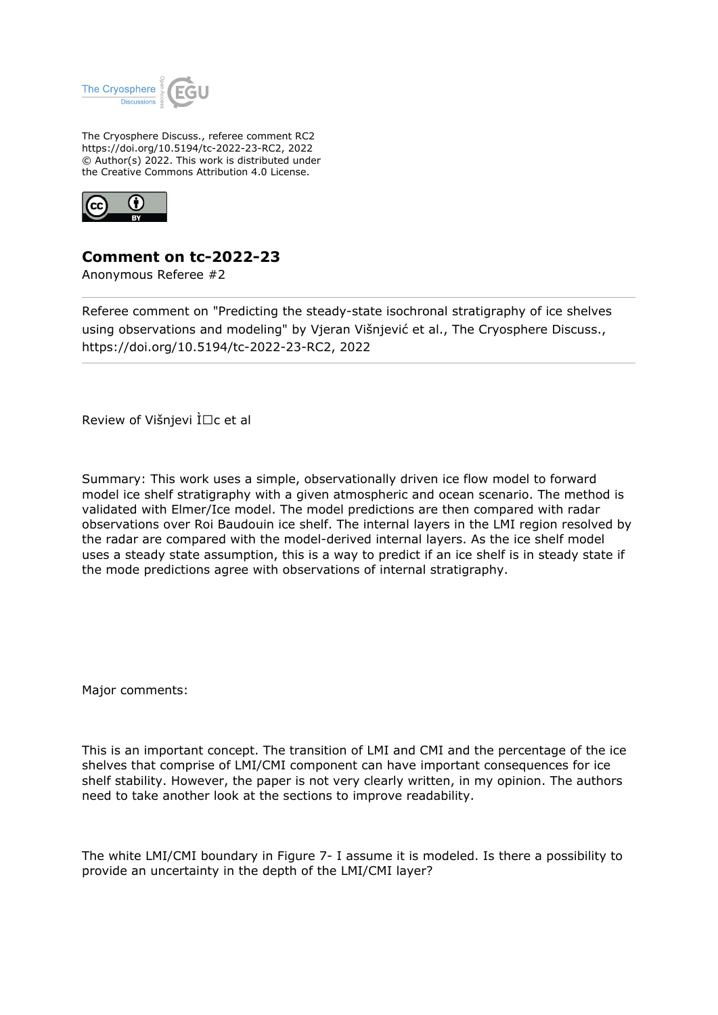

The Cryosphere Discuss., referee comment RC2 https://doi.org/10.5194/tc-2022-23-RC2, 2022 © Author(s) 2022. This work is distributed under the Creative Commons Attribution 4.0 License.



## **Comment on tc-2022-23**

Anonymous Referee #2

Referee comment on "Predicting the steady-state isochronal stratigraphy of ice shelves using observations and modeling" by Vjeran Višnjević et al., The Cryosphere Discuss., https://doi.org/10.5194/tc-2022-23-RC2, 2022

Review of Višnjevi  $\overline{\iota} \Box c$  et al

Summary: This work uses a simple, observationally driven ice flow model to forward model ice shelf stratigraphy with a given atmospheric and ocean scenario. The method is validated with Elmer/Ice model. The model predictions are then compared with radar observations over Roi Baudouin ice shelf. The internal layers in the LMI region resolved by the radar are compared with the model-derived internal layers. As the ice shelf model uses a steady state assumption, this is a way to predict if an ice shelf is in steady state if the mode predictions agree with observations of internal stratigraphy.

Major comments:

This is an important concept. The transition of LMI and CMI and the percentage of the ice shelves that comprise of LMI/CMI component can have important consequences for ice shelf stability. However, the paper is not very clearly written, in my opinion. The authors need to take another look at the sections to improve readability.

The white LMI/CMI boundary in Figure 7- I assume it is modeled. Is there a possibility to provide an uncertainty in the depth of the LMI/CMI layer?